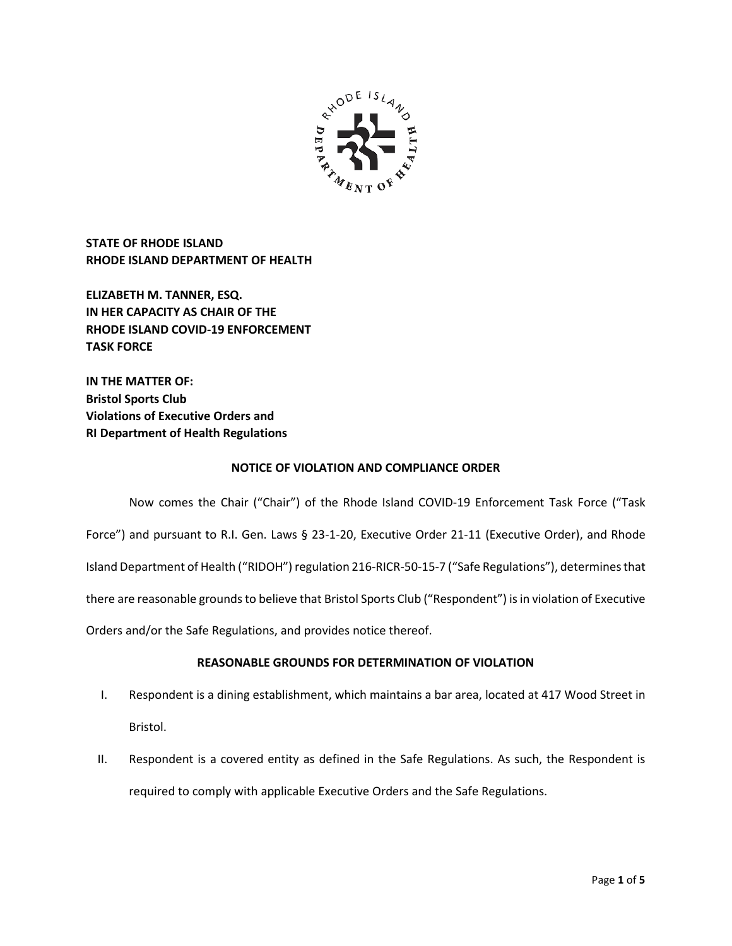

**STATE OF RHODE ISLAND RHODE ISLAND DEPARTMENT OF HEALTH**

**ELIZABETH M. TANNER, ESQ. IN HER CAPACITY AS CHAIR OF THE RHODE ISLAND COVID-19 ENFORCEMENT TASK FORCE** 

**IN THE MATTER OF: Bristol Sports Club Violations of Executive Orders and RI Department of Health Regulations**

## **NOTICE OF VIOLATION AND COMPLIANCE ORDER**

Now comes the Chair ("Chair") of the Rhode Island COVID-19 Enforcement Task Force ("Task Force") and pursuant to R.I. Gen. Laws § 23-1-20, Executive Order 21-11 (Executive Order), and Rhode Island Department of Health ("RIDOH") regulation 216-RICR-50-15-7 ("Safe Regulations"), determines that there are reasonable grounds to believe that Bristol Sports Club ("Respondent") is in violation of Executive Orders and/or the Safe Regulations, and provides notice thereof.

# **REASONABLE GROUNDS FOR DETERMINATION OF VIOLATION**

- I. Respondent is a dining establishment, which maintains a bar area, located at 417 Wood Street in Bristol.
- II. Respondent is a covered entity as defined in the Safe Regulations. As such, the Respondent is required to comply with applicable Executive Orders and the Safe Regulations.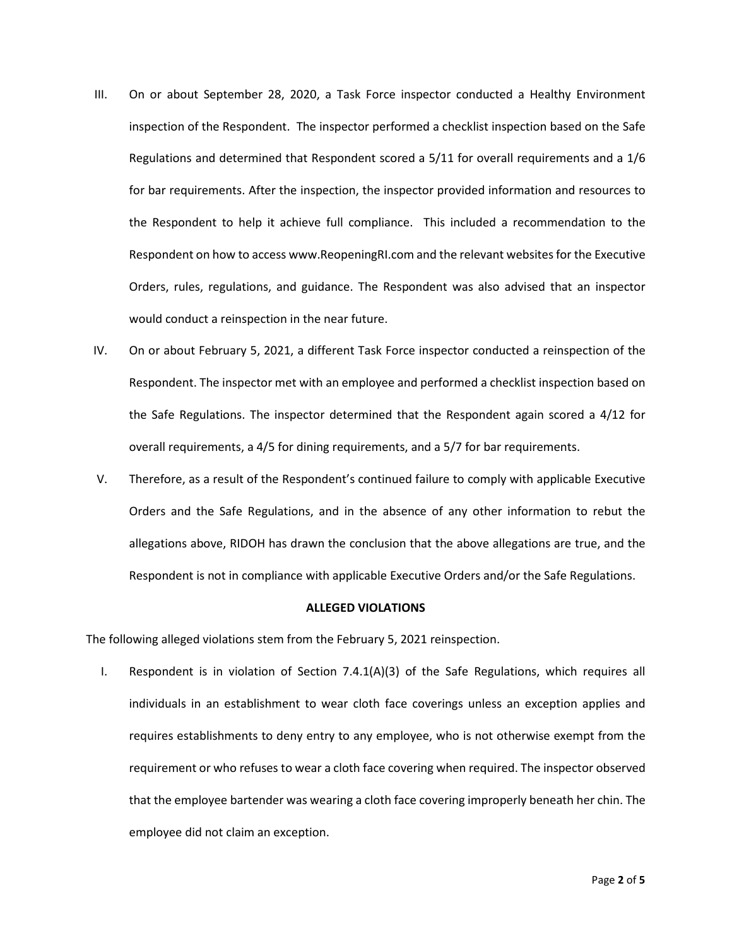- III. On or about September 28, 2020, a Task Force inspector conducted a Healthy Environment inspection of the Respondent. The inspector performed a checklist inspection based on the Safe Regulations and determined that Respondent scored a 5/11 for overall requirements and a 1/6 for bar requirements. After the inspection, the inspector provided information and resources to the Respondent to help it achieve full compliance. This included a recommendation to the Respondent on how to access www.ReopeningRI.com and the relevant websites for the Executive Orders, rules, regulations, and guidance. The Respondent was also advised that an inspector would conduct a reinspection in the near future.
- IV. On or about February 5, 2021, a different Task Force inspector conducted a reinspection of the Respondent. The inspector met with an employee and performed a checklist inspection based on the Safe Regulations. The inspector determined that the Respondent again scored a 4/12 for overall requirements, a 4/5 for dining requirements, and a 5/7 for bar requirements.
- V. Therefore, as a result of the Respondent's continued failure to comply with applicable Executive Orders and the Safe Regulations, and in the absence of any other information to rebut the allegations above, RIDOH has drawn the conclusion that the above allegations are true, and the Respondent is not in compliance with applicable Executive Orders and/or the Safe Regulations.

### **ALLEGED VIOLATIONS**

The following alleged violations stem from the February 5, 2021 reinspection.

I. Respondent is in violation of Section 7.4.1(A)(3) of the Safe Regulations, which requires all individuals in an establishment to wear cloth face coverings unless an exception applies and requires establishments to deny entry to any employee, who is not otherwise exempt from the requirement or who refuses to wear a cloth face covering when required. The inspector observed that the employee bartender was wearing a cloth face covering improperly beneath her chin. The employee did not claim an exception.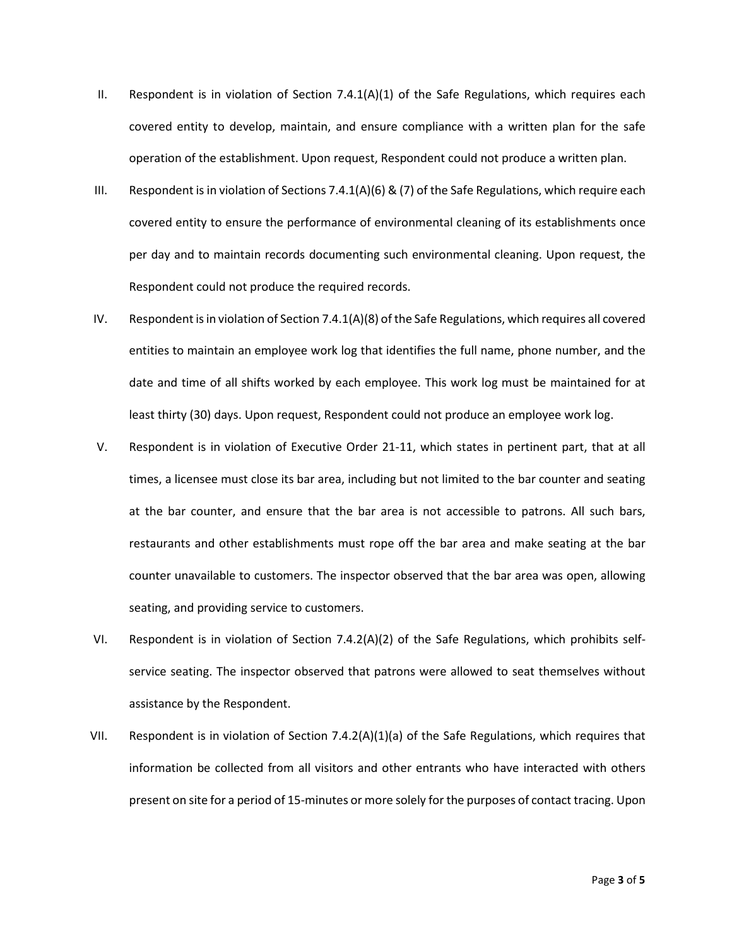- II. Respondent is in violation of Section  $7.4.1(A)(1)$  of the Safe Regulations, which requires each covered entity to develop, maintain, and ensure compliance with a written plan for the safe operation of the establishment. Upon request, Respondent could not produce a written plan.
- III. Respondent is in violation of Sections 7.4.1(A)(6) & (7) of the Safe Regulations, which require each covered entity to ensure the performance of environmental cleaning of its establishments once per day and to maintain records documenting such environmental cleaning. Upon request, the Respondent could not produce the required records.
- IV. Respondent is in violation of Section 7.4.1(A)(8) of the Safe Regulations, which requires all covered entities to maintain an employee work log that identifies the full name, phone number, and the date and time of all shifts worked by each employee. This work log must be maintained for at least thirty (30) days. Upon request, Respondent could not produce an employee work log.
- V. Respondent is in violation of Executive Order 21-11, which states in pertinent part, that at all times, a licensee must close its bar area, including but not limited to the bar counter and seating at the bar counter, and ensure that the bar area is not accessible to patrons. All such bars, restaurants and other establishments must rope off the bar area and make seating at the bar counter unavailable to customers. The inspector observed that the bar area was open, allowing seating, and providing service to customers.
- VI. Respondent is in violation of Section 7.4.2(A)(2) of the Safe Regulations, which prohibits selfservice seating. The inspector observed that patrons were allowed to seat themselves without assistance by the Respondent.
- VII. Respondent is in violation of Section 7.4.2(A)(1)(a) of the Safe Regulations, which requires that information be collected from all visitors and other entrants who have interacted with others present on site for a period of 15-minutes or more solely for the purposes of contact tracing. Upon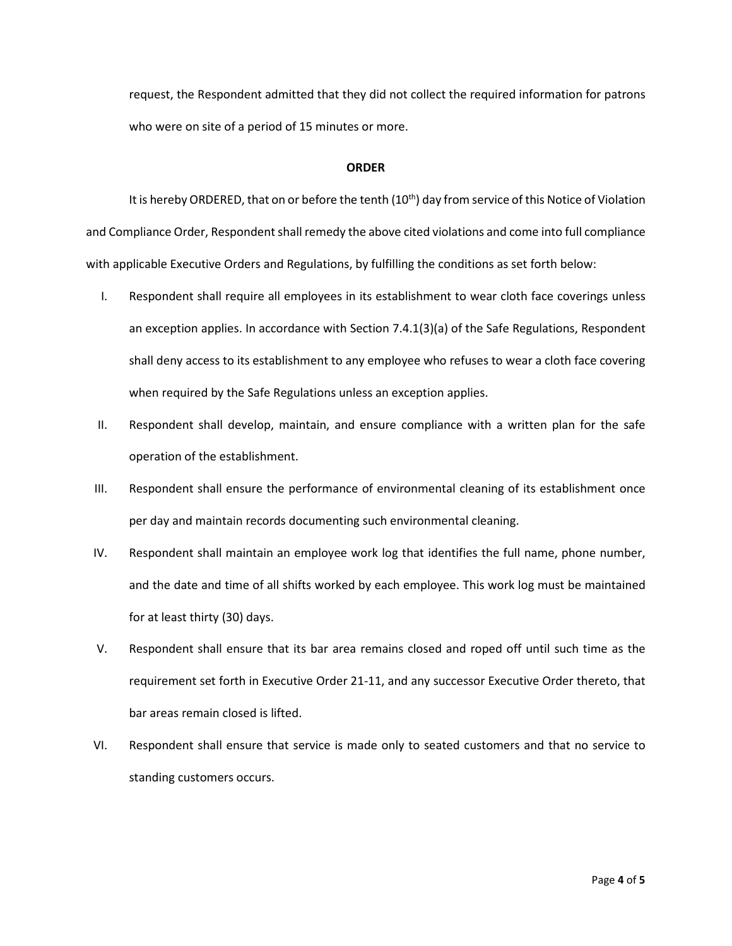request, the Respondent admitted that they did not collect the required information for patrons who were on site of a period of 15 minutes or more.

#### **ORDER**

It is hereby ORDERED, that on or before the tenth  $(10<sup>th</sup>)$  day from service of this Notice of Violation and Compliance Order, Respondent shall remedy the above cited violations and come into full compliance with applicable Executive Orders and Regulations, by fulfilling the conditions as set forth below:

- I. Respondent shall require all employees in its establishment to wear cloth face coverings unless an exception applies. In accordance with Section 7.4.1(3)(a) of the Safe Regulations, Respondent shall deny access to its establishment to any employee who refuses to wear a cloth face covering when required by the Safe Regulations unless an exception applies.
- II. Respondent shall develop, maintain, and ensure compliance with a written plan for the safe operation of the establishment.
- III. Respondent shall ensure the performance of environmental cleaning of its establishment once per day and maintain records documenting such environmental cleaning.
- IV. Respondent shall maintain an employee work log that identifies the full name, phone number, and the date and time of all shifts worked by each employee. This work log must be maintained for at least thirty (30) days.
- V. Respondent shall ensure that its bar area remains closed and roped off until such time as the requirement set forth in Executive Order 21-11, and any successor Executive Order thereto, that bar areas remain closed is lifted.
- VI. Respondent shall ensure that service is made only to seated customers and that no service to standing customers occurs.